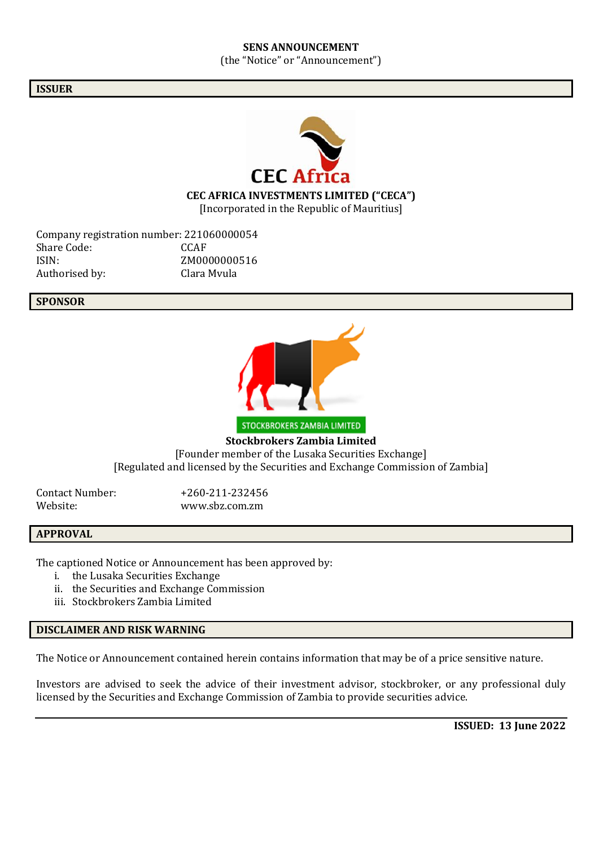#### **SENS ANNOUNCEMENT** (the "Notice" or "Announcement")

#### **ISSUER**



**CEC AFRICA INVESTMENTS LIMITED ("CECA")**

[Incorporated in the Republic of Mauritius]

Company registration number: 221060000054<br>Share Code: CCAF Share Code: ISIN: ZM0000000516 Authorised by: Clara Mvula

#### **SPONSOR**



STOCKBROKERS ZAMBIA LIMITED **Stockbrokers Zambia Limited** [Founder member of the Lusaka Securities Exchange] [Regulated and licensed by the Securities and Exchange Commission of Zambia]

Contact Number: +260-211-232456 Website: www.sbz.com.zm

#### **APPROVAL**

The captioned Notice or Announcement has been approved by:

- i. the Lusaka Securities Exchange
- ii. the Securities and Exchange Commission
- iii. Stockbrokers Zambia Limited

#### **DISCLAIMER AND RISK WARNING**

The Notice or Announcement contained herein contains information that may be of a price sensitive nature.

Investors are advised to seek the advice of their investment advisor, stockbroker, or any professional duly licensed by the Securities and Exchange Commission of Zambia to provide securities advice.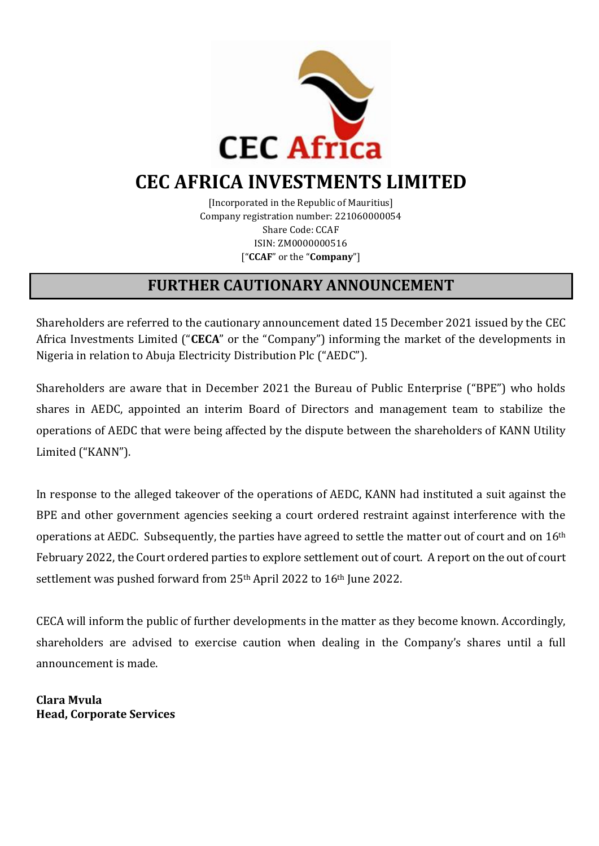

# **CEC AFRICA INVESTMENTS LIMITED**

[Incorporated in the Republic of Mauritius] Company registration number: 221060000054 Share Code: CCAF ISIN: ZM0000000516 ["**CCAF**" or the "**Company**"]

## **FURTHER CAUTIONARY ANNOUNCEMENT**

Shareholders are referred to the cautionary announcement dated 15 December 2021 issued by the CEC Africa Investments Limited ("**CECA**" or the "Company") informing the market of the developments in Nigeria in relation to Abuja Electricity Distribution Plc ("AEDC").

Shareholders are aware that in December 2021 the Bureau of Public Enterprise ("BPE") who holds shares in AEDC, appointed an interim Board of Directors and management team to stabilize the operations of AEDC that were being affected by the dispute between the shareholders of KANN Utility Limited ("KANN").

In response to the alleged takeover of the operations of AEDC, KANN had instituted a suit against the BPE and other government agencies seeking a court ordered restraint against interference with the operations at AEDC. Subsequently, the parties have agreed to settle the matter out of court and on 16th February 2022, the Court ordered parties to explore settlement out of court. A report on the out of court settlement was pushed forward from 25<sup>th</sup> April 2022 to 16<sup>th</sup> June 2022.

CECA will inform the public of further developments in the matter as they become known. Accordingly, shareholders are advised to exercise caution when dealing in the Company's shares until a full announcement is made.

**Clara Mvula Head, Corporate Services**